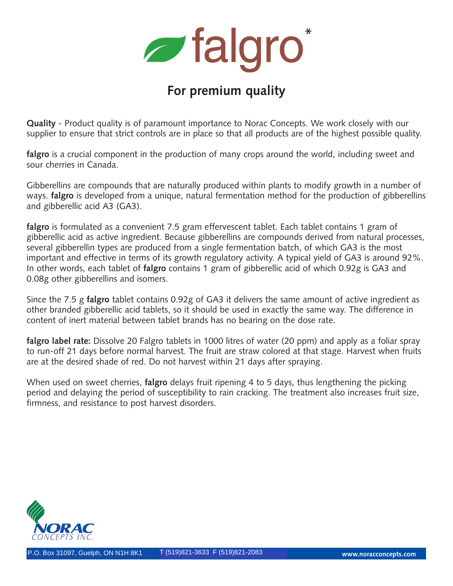**z** falgro\*

# **For premium quality**

**Quality** - Product quality is of paramount importance to Norac Concepts. We work closely with our supplier to ensure that strict controls are in place so that all products are of the highest possible quality.

falgro is a crucial component in the production of many crops around the world, including sweet and sour cherries in Canada.

Gibberellins are compounds that are naturally produced within plants to modify growth in a number of ways. **falgro** is developed from a unique, natural fermentation method for the production of gibberellins and gibberellic acid A3 (GA3).

falgro is formulated as a convenient 7.5 gram effervescent tablet. Each tablet contains 1 gram of gibberellic acid as active ingredient. Because gibberellins are compounds derived from natural processes, several gibberellin types are produced from a single fermentation batch, of which GA3 is the most important and effective in terms of its growth regulatory activity. A typical yield of GA3 is around 92%. In other words, each tablet of **falgro** contains 1 gram of gibberellic acid of which 0.92g is GA3 and 0.08g other gibberellins and isomers.

Since the 7.5 g **falgro** tablet contains 0.92g of GA3 it delivers the same amount of active ingredient as other branded gibberellic acid tablets, so it should be used in exactly the same way. The difference in content of inert material between tablet brands has no bearing on the dose rate.

**falgro label rate:** Dissolve 20 Falgro tablets in 1000 litres of water (20 ppm) and apply as a foliar spray to run-off 21 days before normal harvest. The fruit are straw colored at that stage. Harvest when fruits are at the desired shade of red. Do not harvest within 21 days after spraying.

When used on sweet cherries, **falgro** delays fruit ripening 4 to 5 days, thus lengthening the picking period and delaying the period of susceptibility to rain cracking. The treatment also increases fruit size, firmness, and resistance to post harvest disorders.